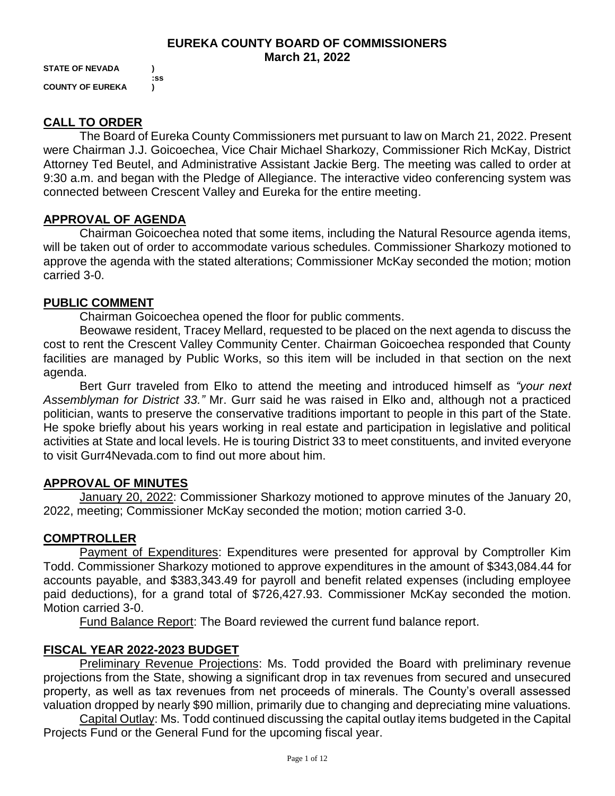#### **EUREKA COUNTY BOARD OF COMMISSIONERS March 21, 2022**

**STATE OF NEVADA ) :ss COUNTY OF EUREKA )**

### **CALL TO ORDER**

The Board of Eureka County Commissioners met pursuant to law on March 21, 2022. Present were Chairman J.J. Goicoechea, Vice Chair Michael Sharkozy, Commissioner Rich McKay, District Attorney Ted Beutel, and Administrative Assistant Jackie Berg. The meeting was called to order at 9:30 a.m. and began with the Pledge of Allegiance. The interactive video conferencing system was connected between Crescent Valley and Eureka for the entire meeting.

### **APPROVAL OF AGENDA**

Chairman Goicoechea noted that some items, including the Natural Resource agenda items, will be taken out of order to accommodate various schedules. Commissioner Sharkozy motioned to approve the agenda with the stated alterations; Commissioner McKay seconded the motion; motion carried 3-0.

### **PUBLIC COMMENT**

Chairman Goicoechea opened the floor for public comments.

Beowawe resident, Tracey Mellard, requested to be placed on the next agenda to discuss the cost to rent the Crescent Valley Community Center. Chairman Goicoechea responded that County facilities are managed by Public Works, so this item will be included in that section on the next agenda.

Bert Gurr traveled from Elko to attend the meeting and introduced himself as *"your next Assemblyman for District 33."* Mr. Gurr said he was raised in Elko and, although not a practiced politician, wants to preserve the conservative traditions important to people in this part of the State. He spoke briefly about his years working in real estate and participation in legislative and political activities at State and local levels. He is touring District 33 to meet constituents, and invited everyone to visit Gurr4Nevada.com to find out more about him.

# **APPROVAL OF MINUTES**

January 20, 2022: Commissioner Sharkozy motioned to approve minutes of the January 20, 2022, meeting; Commissioner McKay seconded the motion; motion carried 3-0.

### **COMPTROLLER**

Payment of Expenditures: Expenditures were presented for approval by Comptroller Kim Todd. Commissioner Sharkozy motioned to approve expenditures in the amount of \$343,084.44 for accounts payable, and \$383,343.49 for payroll and benefit related expenses (including employee paid deductions), for a grand total of \$726,427.93. Commissioner McKay seconded the motion. Motion carried 3-0.

Fund Balance Report: The Board reviewed the current fund balance report.

# **FISCAL YEAR 2022-2023 BUDGET**

Preliminary Revenue Projections: Ms. Todd provided the Board with preliminary revenue projections from the State, showing a significant drop in tax revenues from secured and unsecured property, as well as tax revenues from net proceeds of minerals. The County's overall assessed valuation dropped by nearly \$90 million, primarily due to changing and depreciating mine valuations.

Capital Outlay: Ms. Todd continued discussing the capital outlay items budgeted in the Capital Projects Fund or the General Fund for the upcoming fiscal year.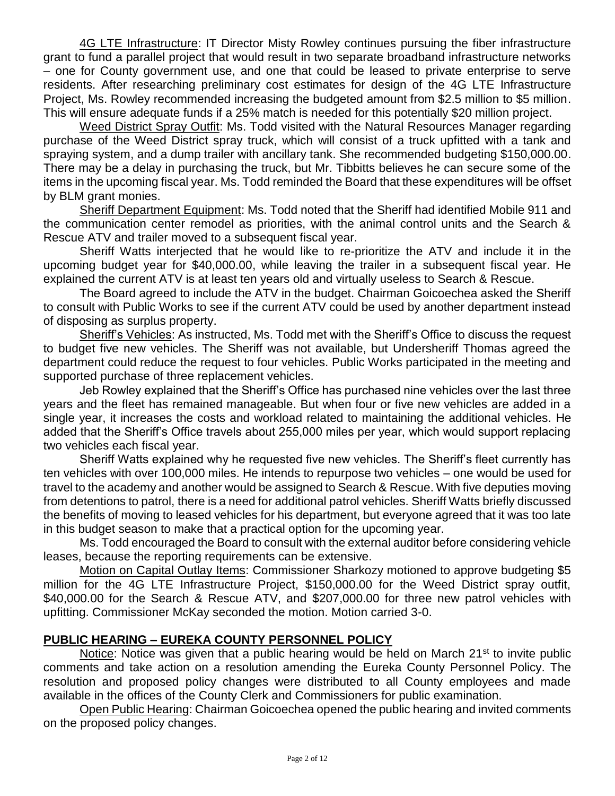4G LTE Infrastructure: IT Director Misty Rowley continues pursuing the fiber infrastructure grant to fund a parallel project that would result in two separate broadband infrastructure networks – one for County government use, and one that could be leased to private enterprise to serve residents. After researching preliminary cost estimates for design of the 4G LTE Infrastructure Project, Ms. Rowley recommended increasing the budgeted amount from \$2.5 million to \$5 million. This will ensure adequate funds if a 25% match is needed for this potentially \$20 million project.

Weed District Spray Outfit: Ms. Todd visited with the Natural Resources Manager regarding purchase of the Weed District spray truck, which will consist of a truck upfitted with a tank and spraying system, and a dump trailer with ancillary tank. She recommended budgeting \$150,000.00. There may be a delay in purchasing the truck, but Mr. Tibbitts believes he can secure some of the items in the upcoming fiscal year. Ms. Todd reminded the Board that these expenditures will be offset by BLM grant monies.

Sheriff Department Equipment: Ms. Todd noted that the Sheriff had identified Mobile 911 and the communication center remodel as priorities, with the animal control units and the Search & Rescue ATV and trailer moved to a subsequent fiscal year.

Sheriff Watts interjected that he would like to re-prioritize the ATV and include it in the upcoming budget year for \$40,000.00, while leaving the trailer in a subsequent fiscal year. He explained the current ATV is at least ten years old and virtually useless to Search & Rescue.

The Board agreed to include the ATV in the budget. Chairman Goicoechea asked the Sheriff to consult with Public Works to see if the current ATV could be used by another department instead of disposing as surplus property.

Sheriff's Vehicles: As instructed, Ms. Todd met with the Sheriff's Office to discuss the request to budget five new vehicles. The Sheriff was not available, but Undersheriff Thomas agreed the department could reduce the request to four vehicles. Public Works participated in the meeting and supported purchase of three replacement vehicles.

Jeb Rowley explained that the Sheriff's Office has purchased nine vehicles over the last three years and the fleet has remained manageable. But when four or five new vehicles are added in a single year, it increases the costs and workload related to maintaining the additional vehicles. He added that the Sheriff's Office travels about 255,000 miles per year, which would support replacing two vehicles each fiscal year.

Sheriff Watts explained why he requested five new vehicles. The Sheriff's fleet currently has ten vehicles with over 100,000 miles. He intends to repurpose two vehicles – one would be used for travel to the academy and another would be assigned to Search & Rescue. With five deputies moving from detentions to patrol, there is a need for additional patrol vehicles. Sheriff Watts briefly discussed the benefits of moving to leased vehicles for his department, but everyone agreed that it was too late in this budget season to make that a practical option for the upcoming year.

Ms. Todd encouraged the Board to consult with the external auditor before considering vehicle leases, because the reporting requirements can be extensive.

Motion on Capital Outlay Items: Commissioner Sharkozy motioned to approve budgeting \$5 million for the 4G LTE Infrastructure Project, \$150,000.00 for the Weed District spray outfit, \$40,000.00 for the Search & Rescue ATV, and \$207,000.00 for three new patrol vehicles with upfitting. Commissioner McKay seconded the motion. Motion carried 3-0.

### **PUBLIC HEARING – EUREKA COUNTY PERSONNEL POLICY**

Notice: Notice was given that a public hearing would be held on March  $21^{st}$  to invite public comments and take action on a resolution amending the Eureka County Personnel Policy. The resolution and proposed policy changes were distributed to all County employees and made available in the offices of the County Clerk and Commissioners for public examination.

Open Public Hearing: Chairman Goicoechea opened the public hearing and invited comments on the proposed policy changes.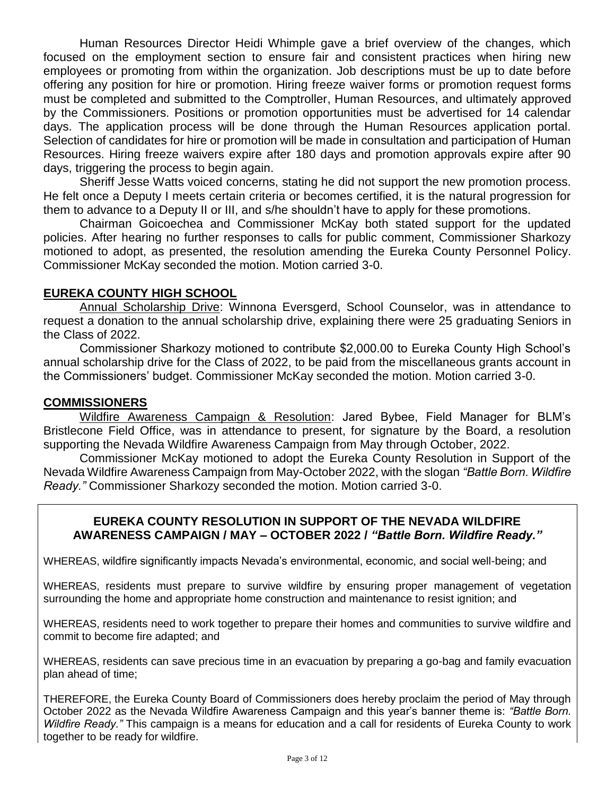Human Resources Director Heidi Whimple gave a brief overview of the changes, which focused on the employment section to ensure fair and consistent practices when hiring new employees or promoting from within the organization. Job descriptions must be up to date before offering any position for hire or promotion. Hiring freeze waiver forms or promotion request forms must be completed and submitted to the Comptroller, Human Resources, and ultimately approved by the Commissioners. Positions or promotion opportunities must be advertised for 14 calendar days. The application process will be done through the Human Resources application portal. Selection of candidates for hire or promotion will be made in consultation and participation of Human Resources. Hiring freeze waivers expire after 180 days and promotion approvals expire after 90 days, triggering the process to begin again.

Sheriff Jesse Watts voiced concerns, stating he did not support the new promotion process. He felt once a Deputy I meets certain criteria or becomes certified, it is the natural progression for them to advance to a Deputy II or III, and s/he shouldn't have to apply for these promotions.

Chairman Goicoechea and Commissioner McKay both stated support for the updated policies. After hearing no further responses to calls for public comment, Commissioner Sharkozy motioned to adopt, as presented, the resolution amending the Eureka County Personnel Policy. Commissioner McKay seconded the motion. Motion carried 3-0.

### **EUREKA COUNTY HIGH SCHOOL**

Annual Scholarship Drive: Winnona Eversgerd, School Counselor, was in attendance to request a donation to the annual scholarship drive, explaining there were 25 graduating Seniors in the Class of 2022.

Commissioner Sharkozy motioned to contribute \$2,000.00 to Eureka County High School's annual scholarship drive for the Class of 2022, to be paid from the miscellaneous grants account in the Commissioners' budget. Commissioner McKay seconded the motion. Motion carried 3-0.

#### **COMMISSIONERS**

Wildfire Awareness Campaign & Resolution: Jared Bybee, Field Manager for BLM's Bristlecone Field Office, was in attendance to present, for signature by the Board, a resolution supporting the Nevada Wildfire Awareness Campaign from May through October, 2022.

Commissioner McKay motioned to adopt the Eureka County Resolution in Support of the Nevada Wildfire Awareness Campaign from May-October 2022, with the slogan *"Battle Born. Wildfire Ready."* Commissioner Sharkozy seconded the motion. Motion carried 3-0.

### **EUREKA COUNTY RESOLUTION IN SUPPORT OF THE NEVADA WILDFIRE AWARENESS CAMPAIGN / MAY – OCTOBER 2022 /** *"Battle Born. Wildfire Ready."*

WHEREAS, wildfire significantly impacts Nevada's environmental, economic, and social well-being; and

WHEREAS, residents must prepare to survive wildfire by ensuring proper management of vegetation surrounding the home and appropriate home construction and maintenance to resist ignition; and

WHEREAS, residents need to work together to prepare their homes and communities to survive wildfire and commit to become fire adapted; and

WHEREAS, residents can save precious time in an evacuation by preparing a go-bag and family evacuation plan ahead of time;

THEREFORE, the Eureka County Board of Commissioners does hereby proclaim the period of May through October 2022 as the Nevada Wildfire Awareness Campaign and this year's banner theme is: *"Battle Born. Wildfire Ready."* This campaign is a means for education and a call for residents of Eureka County to work together to be ready for wildfire.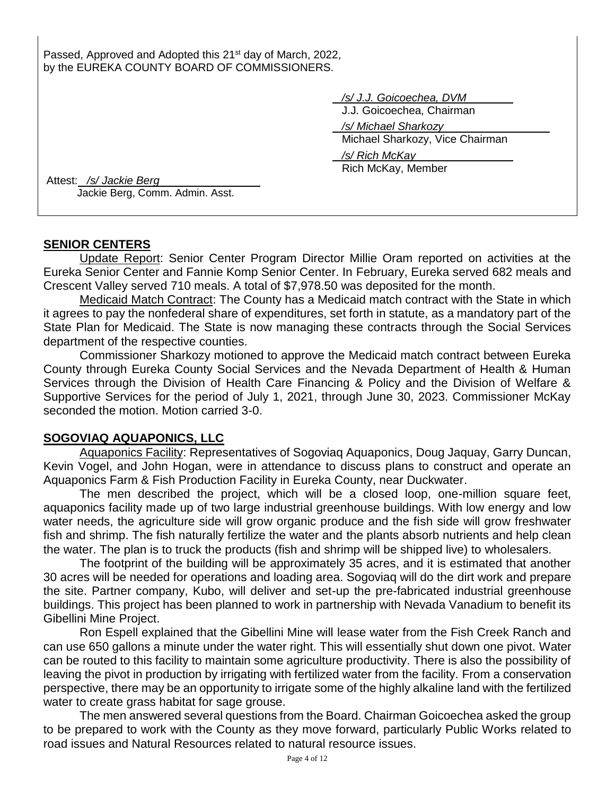Passed, Approved and Adopted this 21<sup>st</sup> day of March, 2022, by the EUREKA COUNTY BOARD OF COMMISSIONERS.

*/s/ J.J. Goicoechea, DVM*

J.J. Goicoechea, Chairman

 */s/ Michael Sharkozy* Michael Sharkozy, Vice Chairman

*/s/ Rich McKay*

Rich McKay, Member

Attest: */s/ Jackie Berg* Jackie Berg, Comm. Admin. Asst.

### **SENIOR CENTERS**

Update Report: Senior Center Program Director Millie Oram reported on activities at the Eureka Senior Center and Fannie Komp Senior Center. In February, Eureka served 682 meals and Crescent Valley served 710 meals. A total of \$7,978.50 was deposited for the month.

Medicaid Match Contract: The County has a Medicaid match contract with the State in which it agrees to pay the nonfederal share of expenditures, set forth in statute, as a mandatory part of the State Plan for Medicaid. The State is now managing these contracts through the Social Services department of the respective counties.

Commissioner Sharkozy motioned to approve the Medicaid match contract between Eureka County through Eureka County Social Services and the Nevada Department of Health & Human Services through the Division of Health Care Financing & Policy and the Division of Welfare & Supportive Services for the period of July 1, 2021, through June 30, 2023. Commissioner McKay seconded the motion. Motion carried 3-0.

# **SOGOVIAQ AQUAPONICS, LLC**

Aquaponics Facility: Representatives of Sogoviaq Aquaponics, Doug Jaquay, Garry Duncan, Kevin Vogel, and John Hogan, were in attendance to discuss plans to construct and operate an Aquaponics Farm & Fish Production Facility in Eureka County, near Duckwater.

The men described the project, which will be a closed loop, one-million square feet, aquaponics facility made up of two large industrial greenhouse buildings. With low energy and low water needs, the agriculture side will grow organic produce and the fish side will grow freshwater fish and shrimp. The fish naturally fertilize the water and the plants absorb nutrients and help clean the water. The plan is to truck the products (fish and shrimp will be shipped live) to wholesalers.

The footprint of the building will be approximately 35 acres, and it is estimated that another 30 acres will be needed for operations and loading area. Sogoviaq will do the dirt work and prepare the site. Partner company, Kubo, will deliver and set-up the pre-fabricated industrial greenhouse buildings. This project has been planned to work in partnership with Nevada Vanadium to benefit its Gibellini Mine Project.

Ron Espell explained that the Gibellini Mine will lease water from the Fish Creek Ranch and can use 650 gallons a minute under the water right. This will essentially shut down one pivot. Water can be routed to this facility to maintain some agriculture productivity. There is also the possibility of leaving the pivot in production by irrigating with fertilized water from the facility. From a conservation perspective, there may be an opportunity to irrigate some of the highly alkaline land with the fertilized water to create grass habitat for sage grouse.

The men answered several questions from the Board. Chairman Goicoechea asked the group to be prepared to work with the County as they move forward, particularly Public Works related to road issues and Natural Resources related to natural resource issues.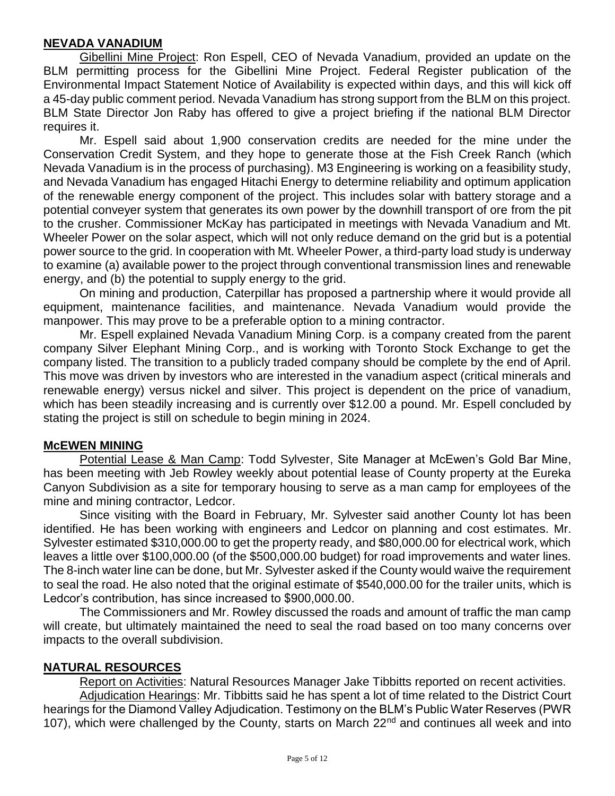### **NEVADA VANADIUM**

Gibellini Mine Project: Ron Espell, CEO of Nevada Vanadium, provided an update on the BLM permitting process for the Gibellini Mine Project. Federal Register publication of the Environmental Impact Statement Notice of Availability is expected within days, and this will kick off a 45-day public comment period. Nevada Vanadium has strong support from the BLM on this project. BLM State Director Jon Raby has offered to give a project briefing if the national BLM Director requires it.

Mr. Espell said about 1,900 conservation credits are needed for the mine under the Conservation Credit System, and they hope to generate those at the Fish Creek Ranch (which Nevada Vanadium is in the process of purchasing). M3 Engineering is working on a feasibility study, and Nevada Vanadium has engaged Hitachi Energy to determine reliability and optimum application of the renewable energy component of the project. This includes solar with battery storage and a potential conveyer system that generates its own power by the downhill transport of ore from the pit to the crusher. Commissioner McKay has participated in meetings with Nevada Vanadium and Mt. Wheeler Power on the solar aspect, which will not only reduce demand on the grid but is a potential power source to the grid. In cooperation with Mt. Wheeler Power, a third-party load study is underway to examine (a) available power to the project through conventional transmission lines and renewable energy, and (b) the potential to supply energy to the grid.

On mining and production, Caterpillar has proposed a partnership where it would provide all equipment, maintenance facilities, and maintenance. Nevada Vanadium would provide the manpower. This may prove to be a preferable option to a mining contractor.

Mr. Espell explained Nevada Vanadium Mining Corp. is a company created from the parent company Silver Elephant Mining Corp., and is working with Toronto Stock Exchange to get the company listed. The transition to a publicly traded company should be complete by the end of April. This move was driven by investors who are interested in the vanadium aspect (critical minerals and renewable energy) versus nickel and silver. This project is dependent on the price of vanadium, which has been steadily increasing and is currently over \$12.00 a pound. Mr. Espell concluded by stating the project is still on schedule to begin mining in 2024.

### **McEWEN MINING**

Potential Lease & Man Camp: Todd Sylvester, Site Manager at McEwen's Gold Bar Mine, has been meeting with Jeb Rowley weekly about potential lease of County property at the Eureka Canyon Subdivision as a site for temporary housing to serve as a man camp for employees of the mine and mining contractor, Ledcor.

Since visiting with the Board in February, Mr. Sylvester said another County lot has been identified. He has been working with engineers and Ledcor on planning and cost estimates. Mr. Sylvester estimated \$310,000.00 to get the property ready, and \$80,000.00 for electrical work, which leaves a little over \$100,000.00 (of the \$500,000.00 budget) for road improvements and water lines. The 8-inch water line can be done, but Mr. Sylvester asked if the County would waive the requirement to seal the road. He also noted that the original estimate of \$540,000.00 for the trailer units, which is Ledcor's contribution, has since increased to \$900,000.00.

The Commissioners and Mr. Rowley discussed the roads and amount of traffic the man camp will create, but ultimately maintained the need to seal the road based on too many concerns over impacts to the overall subdivision.

### **NATURAL RESOURCES**

Report on Activities: Natural Resources Manager Jake Tibbitts reported on recent activities. Adjudication Hearings: Mr. Tibbitts said he has spent a lot of time related to the District Court hearings for the Diamond Valley Adjudication. Testimony on the BLM's Public Water Reserves (PWR 107), which were challenged by the County, starts on March 22<sup>nd</sup> and continues all week and into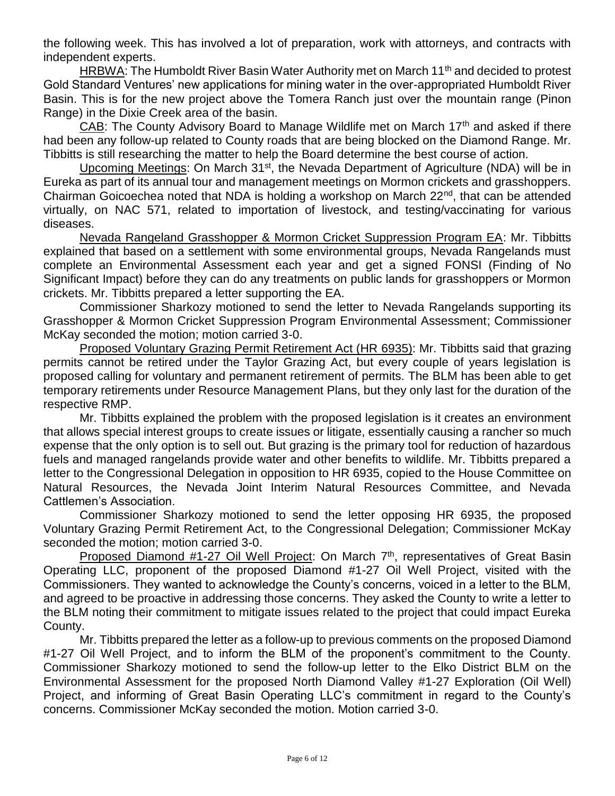the following week. This has involved a lot of preparation, work with attorneys, and contracts with independent experts.

HRBWA: The Humboldt River Basin Water Authority met on March 11<sup>th</sup> and decided to protest Gold Standard Ventures' new applications for mining water in the over-appropriated Humboldt River Basin. This is for the new project above the Tomera Ranch just over the mountain range (Pinon Range) in the Dixie Creek area of the basin.

CAB: The County Advisory Board to Manage Wildlife met on March  $17<sup>th</sup>$  and asked if there had been any follow-up related to County roads that are being blocked on the Diamond Range. Mr. Tibbitts is still researching the matter to help the Board determine the best course of action.

Upcoming Meetings: On March 31<sup>st</sup>, the Nevada Department of Agriculture (NDA) will be in Eureka as part of its annual tour and management meetings on Mormon crickets and grasshoppers. Chairman Goicoechea noted that NDA is holding a workshop on March 22<sup>nd</sup>, that can be attended virtually, on NAC 571, related to importation of livestock, and testing/vaccinating for various diseases.

Nevada Rangeland Grasshopper & Mormon Cricket Suppression Program EA: Mr. Tibbitts explained that based on a settlement with some environmental groups, Nevada Rangelands must complete an Environmental Assessment each year and get a signed FONSI (Finding of No Significant Impact) before they can do any treatments on public lands for grasshoppers or Mormon crickets. Mr. Tibbitts prepared a letter supporting the EA.

Commissioner Sharkozy motioned to send the letter to Nevada Rangelands supporting its Grasshopper & Mormon Cricket Suppression Program Environmental Assessment; Commissioner McKay seconded the motion; motion carried 3-0.

Proposed Voluntary Grazing Permit Retirement Act (HR 6935): Mr. Tibbitts said that grazing permits cannot be retired under the Taylor Grazing Act, but every couple of years legislation is proposed calling for voluntary and permanent retirement of permits. The BLM has been able to get temporary retirements under Resource Management Plans, but they only last for the duration of the respective RMP.

Mr. Tibbitts explained the problem with the proposed legislation is it creates an environment that allows special interest groups to create issues or litigate, essentially causing a rancher so much expense that the only option is to sell out. But grazing is the primary tool for reduction of hazardous fuels and managed rangelands provide water and other benefits to wildlife. Mr. Tibbitts prepared a letter to the Congressional Delegation in opposition to HR 6935, copied to the House Committee on Natural Resources, the Nevada Joint Interim Natural Resources Committee, and Nevada Cattlemen's Association.

Commissioner Sharkozy motioned to send the letter opposing HR 6935, the proposed Voluntary Grazing Permit Retirement Act, to the Congressional Delegation; Commissioner McKay seconded the motion; motion carried 3-0.

Proposed Diamond #1-27 Oil Well Project: On March  $7<sup>th</sup>$ , representatives of Great Basin Operating LLC, proponent of the proposed Diamond #1-27 Oil Well Project, visited with the Commissioners. They wanted to acknowledge the County's concerns, voiced in a letter to the BLM, and agreed to be proactive in addressing those concerns. They asked the County to write a letter to the BLM noting their commitment to mitigate issues related to the project that could impact Eureka County.

Mr. Tibbitts prepared the letter as a follow-up to previous comments on the proposed Diamond #1-27 Oil Well Project, and to inform the BLM of the proponent's commitment to the County. Commissioner Sharkozy motioned to send the follow-up letter to the Elko District BLM on the Environmental Assessment for the proposed North Diamond Valley #1-27 Exploration (Oil Well) Project, and informing of Great Basin Operating LLC's commitment in regard to the County's concerns. Commissioner McKay seconded the motion. Motion carried 3-0.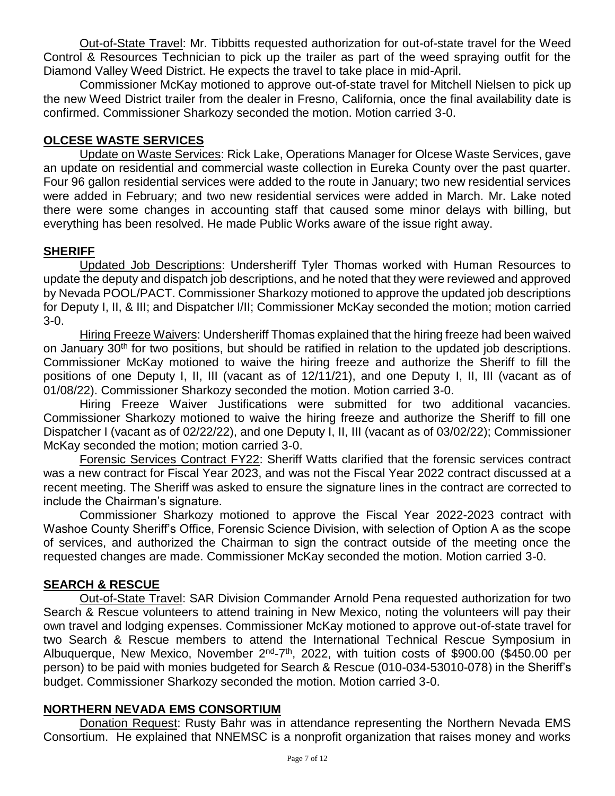Out-of-State Travel: Mr. Tibbitts requested authorization for out-of-state travel for the Weed Control & Resources Technician to pick up the trailer as part of the weed spraying outfit for the Diamond Valley Weed District. He expects the travel to take place in mid-April.

Commissioner McKay motioned to approve out-of-state travel for Mitchell Nielsen to pick up the new Weed District trailer from the dealer in Fresno, California, once the final availability date is confirmed. Commissioner Sharkozy seconded the motion. Motion carried 3-0.

# **OLCESE WASTE SERVICES**

Update on Waste Services: Rick Lake, Operations Manager for Olcese Waste Services, gave an update on residential and commercial waste collection in Eureka County over the past quarter. Four 96 gallon residential services were added to the route in January; two new residential services were added in February; and two new residential services were added in March. Mr. Lake noted there were some changes in accounting staff that caused some minor delays with billing, but everything has been resolved. He made Public Works aware of the issue right away.

# **SHERIFF**

Updated Job Descriptions: Undersheriff Tyler Thomas worked with Human Resources to update the deputy and dispatch job descriptions, and he noted that they were reviewed and approved by Nevada POOL/PACT. Commissioner Sharkozy motioned to approve the updated job descriptions for Deputy I, II, & III; and Dispatcher I/II; Commissioner McKay seconded the motion; motion carried 3-0.

Hiring Freeze Waivers: Undersheriff Thomas explained that the hiring freeze had been waived on January 30<sup>th</sup> for two positions, but should be ratified in relation to the updated job descriptions. Commissioner McKay motioned to waive the hiring freeze and authorize the Sheriff to fill the positions of one Deputy I, II, III (vacant as of 12/11/21), and one Deputy I, II, III (vacant as of 01/08/22). Commissioner Sharkozy seconded the motion. Motion carried 3-0.

Hiring Freeze Waiver Justifications were submitted for two additional vacancies. Commissioner Sharkozy motioned to waive the hiring freeze and authorize the Sheriff to fill one Dispatcher I (vacant as of 02/22/22), and one Deputy I, II, III (vacant as of 03/02/22); Commissioner McKay seconded the motion; motion carried 3-0.

Forensic Services Contract FY22: Sheriff Watts clarified that the forensic services contract was a new contract for Fiscal Year 2023, and was not the Fiscal Year 2022 contract discussed at a recent meeting. The Sheriff was asked to ensure the signature lines in the contract are corrected to include the Chairman's signature.

Commissioner Sharkozy motioned to approve the Fiscal Year 2022-2023 contract with Washoe County Sheriff's Office, Forensic Science Division, with selection of Option A as the scope of services, and authorized the Chairman to sign the contract outside of the meeting once the requested changes are made. Commissioner McKay seconded the motion. Motion carried 3-0.

# **SEARCH & RESCUE**

Out-of-State Travel: SAR Division Commander Arnold Pena requested authorization for two Search & Rescue volunteers to attend training in New Mexico, noting the volunteers will pay their own travel and lodging expenses. Commissioner McKay motioned to approve out-of-state travel for two Search & Rescue members to attend the International Technical Rescue Symposium in Albuquerque, New Mexico, November 2<sup>nd</sup>-7<sup>th</sup>, 2022, with tuition costs of \$900.00 (\$450.00 per person) to be paid with monies budgeted for Search & Rescue (010-034-53010-078) in the Sheriff's budget. Commissioner Sharkozy seconded the motion. Motion carried 3-0.

# **NORTHERN NEVADA EMS CONSORTIUM**

Donation Request: Rusty Bahr was in attendance representing the Northern Nevada EMS Consortium. He explained that NNEMSC is a nonprofit organization that raises money and works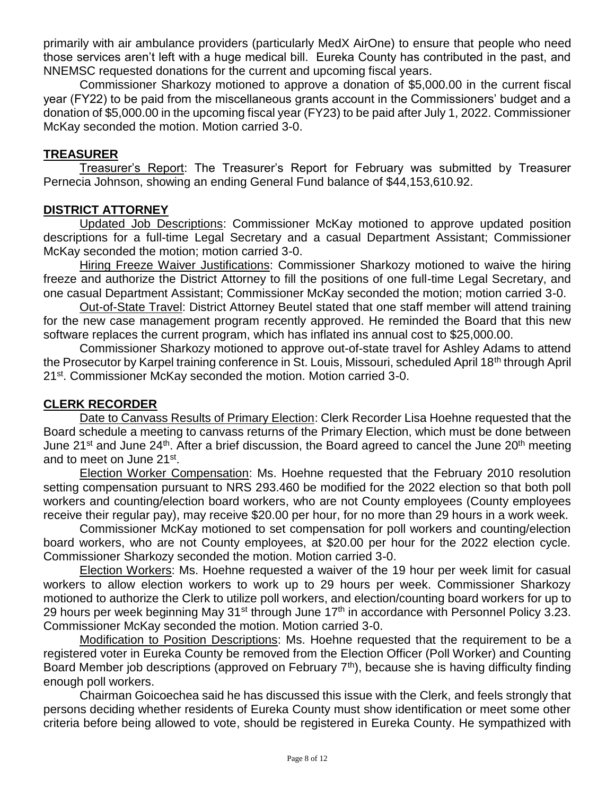primarily with air ambulance providers (particularly MedX AirOne) to ensure that people who need those services aren't left with a huge medical bill. Eureka County has contributed in the past, and NNEMSC requested donations for the current and upcoming fiscal years.

Commissioner Sharkozy motioned to approve a donation of \$5,000.00 in the current fiscal year (FY22) to be paid from the miscellaneous grants account in the Commissioners' budget and a donation of \$5,000.00 in the upcoming fiscal year (FY23) to be paid after July 1, 2022. Commissioner McKay seconded the motion. Motion carried 3-0.

### **TREASURER**

Treasurer's Report: The Treasurer's Report for February was submitted by Treasurer Pernecia Johnson, showing an ending General Fund balance of \$44,153,610.92.

### **DISTRICT ATTORNEY**

Updated Job Descriptions: Commissioner McKay motioned to approve updated position descriptions for a full-time Legal Secretary and a casual Department Assistant; Commissioner McKay seconded the motion; motion carried 3-0.

Hiring Freeze Waiver Justifications: Commissioner Sharkozy motioned to waive the hiring freeze and authorize the District Attorney to fill the positions of one full-time Legal Secretary, and one casual Department Assistant; Commissioner McKay seconded the motion; motion carried 3-0.

Out-of-State Travel: District Attorney Beutel stated that one staff member will attend training for the new case management program recently approved. He reminded the Board that this new software replaces the current program, which has inflated ins annual cost to \$25,000.00.

Commissioner Sharkozy motioned to approve out-of-state travel for Ashley Adams to attend the Prosecutor by Karpel training conference in St. Louis, Missouri, scheduled April 18<sup>th</sup> through April 21st. Commissioner McKay seconded the motion. Motion carried 3-0.

### **CLERK RECORDER**

Date to Canvass Results of Primary Election: Clerk Recorder Lisa Hoehne requested that the Board schedule a meeting to canvass returns of the Primary Election, which must be done between June 21<sup>st</sup> and June 24<sup>th</sup>. After a brief discussion, the Board agreed to cancel the June 20<sup>th</sup> meeting and to meet on June 21st.

Election Worker Compensation: Ms. Hoehne requested that the February 2010 resolution setting compensation pursuant to NRS 293.460 be modified for the 2022 election so that both poll workers and counting/election board workers, who are not County employees (County employees receive their regular pay), may receive \$20.00 per hour, for no more than 29 hours in a work week.

Commissioner McKay motioned to set compensation for poll workers and counting/election board workers, who are not County employees, at \$20.00 per hour for the 2022 election cycle. Commissioner Sharkozy seconded the motion. Motion carried 3-0.

Election Workers: Ms. Hoehne requested a waiver of the 19 hour per week limit for casual workers to allow election workers to work up to 29 hours per week. Commissioner Sharkozy motioned to authorize the Clerk to utilize poll workers, and election/counting board workers for up to 29 hours per week beginning May  $31^{st}$  through June  $17^{th}$  in accordance with Personnel Policy 3.23. Commissioner McKay seconded the motion. Motion carried 3-0.

Modification to Position Descriptions: Ms. Hoehne requested that the requirement to be a registered voter in Eureka County be removed from the Election Officer (Poll Worker) and Counting Board Member job descriptions (approved on February  $7<sup>th</sup>$ ), because she is having difficulty finding enough poll workers.

Chairman Goicoechea said he has discussed this issue with the Clerk, and feels strongly that persons deciding whether residents of Eureka County must show identification or meet some other criteria before being allowed to vote, should be registered in Eureka County. He sympathized with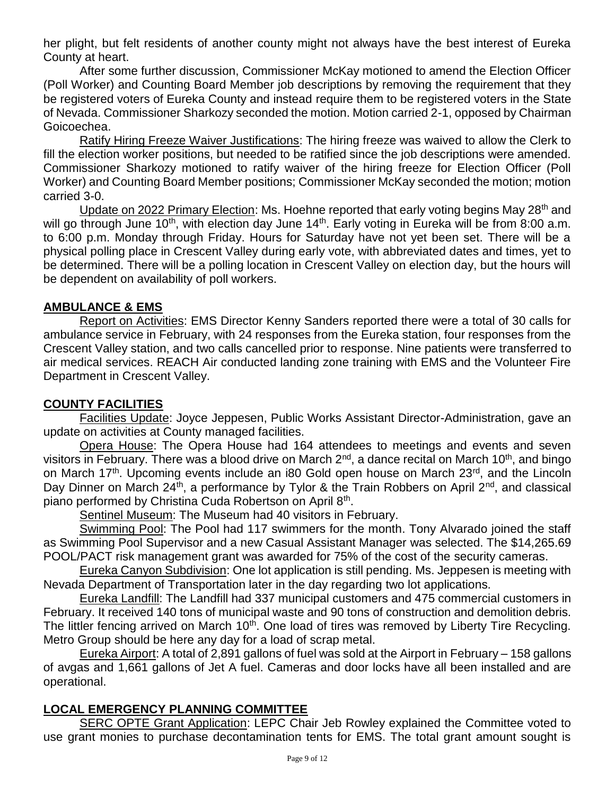her plight, but felt residents of another county might not always have the best interest of Eureka County at heart.

After some further discussion, Commissioner McKay motioned to amend the Election Officer (Poll Worker) and Counting Board Member job descriptions by removing the requirement that they be registered voters of Eureka County and instead require them to be registered voters in the State of Nevada. Commissioner Sharkozy seconded the motion. Motion carried 2-1, opposed by Chairman Goicoechea.

Ratify Hiring Freeze Waiver Justifications: The hiring freeze was waived to allow the Clerk to fill the election worker positions, but needed to be ratified since the job descriptions were amended. Commissioner Sharkozy motioned to ratify waiver of the hiring freeze for Election Officer (Poll Worker) and Counting Board Member positions; Commissioner McKay seconded the motion; motion carried 3-0.

Update on 2022 Primary Election: Ms. Hoehne reported that early voting begins May 28<sup>th</sup> and will go through June 10<sup>th</sup>, with election day June 14<sup>th</sup>. Early voting in Eureka will be from 8:00 a.m. to 6:00 p.m. Monday through Friday. Hours for Saturday have not yet been set. There will be a physical polling place in Crescent Valley during early vote, with abbreviated dates and times, yet to be determined. There will be a polling location in Crescent Valley on election day, but the hours will be dependent on availability of poll workers.

### **AMBULANCE & EMS**

Report on Activities: EMS Director Kenny Sanders reported there were a total of 30 calls for ambulance service in February, with 24 responses from the Eureka station, four responses from the Crescent Valley station, and two calls cancelled prior to response. Nine patients were transferred to air medical services. REACH Air conducted landing zone training with EMS and the Volunteer Fire Department in Crescent Valley.

### **COUNTY FACILITIES**

Facilities Update: Joyce Jeppesen, Public Works Assistant Director-Administration, gave an update on activities at County managed facilities.

Opera House: The Opera House had 164 attendees to meetings and events and seven visitors in February. There was a blood drive on March  $2^{nd}$ , a dance recital on March 10<sup>th</sup>, and bingo on March 17<sup>th</sup>. Upcoming events include an i80 Gold open house on March 23<sup>rd</sup>, and the Lincoln Day Dinner on March 24<sup>th</sup>, a performance by Tylor & the Train Robbers on April 2<sup>nd</sup>, and classical piano performed by Christina Cuda Robertson on April 8<sup>th</sup>.

Sentinel Museum: The Museum had 40 visitors in February.

Swimming Pool: The Pool had 117 swimmers for the month. Tony Alvarado joined the staff as Swimming Pool Supervisor and a new Casual Assistant Manager was selected. The \$14,265.69 POOL/PACT risk management grant was awarded for 75% of the cost of the security cameras.

Eureka Canyon Subdivision: One lot application is still pending. Ms. Jeppesen is meeting with Nevada Department of Transportation later in the day regarding two lot applications.

Eureka Landfill: The Landfill had 337 municipal customers and 475 commercial customers in February. It received 140 tons of municipal waste and 90 tons of construction and demolition debris. The littler fencing arrived on March 10<sup>th</sup>. One load of tires was removed by Liberty Tire Recycling. Metro Group should be here any day for a load of scrap metal.

Eureka Airport: A total of 2,891 gallons of fuel was sold at the Airport in February – 158 gallons of avgas and 1,661 gallons of Jet A fuel. Cameras and door locks have all been installed and are operational.

### **LOCAL EMERGENCY PLANNING COMMITTEE**

SERC OPTE Grant Application: LEPC Chair Jeb Rowley explained the Committee voted to use grant monies to purchase decontamination tents for EMS. The total grant amount sought is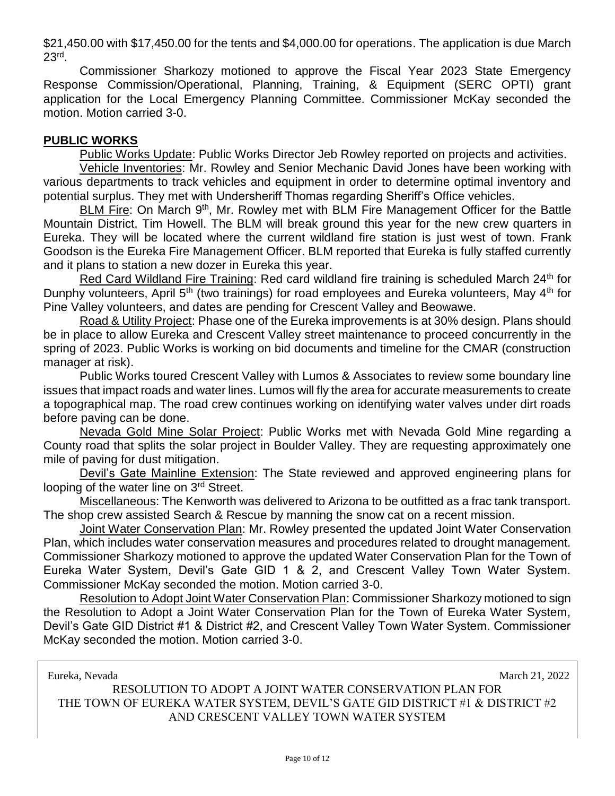\$21,450.00 with \$17,450.00 for the tents and \$4,000.00 for operations. The application is due March  $23<sup>rd</sup>$ .

Commissioner Sharkozy motioned to approve the Fiscal Year 2023 State Emergency Response Commission/Operational, Planning, Training, & Equipment (SERC OPTI) grant application for the Local Emergency Planning Committee. Commissioner McKay seconded the motion. Motion carried 3-0.

### **PUBLIC WORKS**

Public Works Update: Public Works Director Jeb Rowley reported on projects and activities.

Vehicle Inventories: Mr. Rowley and Senior Mechanic David Jones have been working with various departments to track vehicles and equipment in order to determine optimal inventory and potential surplus. They met with Undersheriff Thomas regarding Sheriff's Office vehicles.

BLM Fire: On March 9<sup>th</sup>, Mr. Rowley met with BLM Fire Management Officer for the Battle Mountain District, Tim Howell. The BLM will break ground this year for the new crew quarters in Eureka. They will be located where the current wildland fire station is just west of town. Frank Goodson is the Eureka Fire Management Officer. BLM reported that Eureka is fully staffed currently and it plans to station a new dozer in Eureka this year.

Red Card Wildland Fire Training: Red card wildland fire training is scheduled March 24<sup>th</sup> for Dunphy volunteers, April 5<sup>th</sup> (two trainings) for road employees and Eureka volunteers, May 4<sup>th</sup> for Pine Valley volunteers, and dates are pending for Crescent Valley and Beowawe.

Road & Utility Project: Phase one of the Eureka improvements is at 30% design. Plans should be in place to allow Eureka and Crescent Valley street maintenance to proceed concurrently in the spring of 2023. Public Works is working on bid documents and timeline for the CMAR (construction manager at risk).

Public Works toured Crescent Valley with Lumos & Associates to review some boundary line issues that impact roads and water lines. Lumos will fly the area for accurate measurements to create a topographical map. The road crew continues working on identifying water valves under dirt roads before paving can be done.

Nevada Gold Mine Solar Project: Public Works met with Nevada Gold Mine regarding a County road that splits the solar project in Boulder Valley. They are requesting approximately one mile of paving for dust mitigation.

Devil's Gate Mainline Extension: The State reviewed and approved engineering plans for looping of the water line on 3<sup>rd</sup> Street.

Miscellaneous: The Kenworth was delivered to Arizona to be outfitted as a frac tank transport. The shop crew assisted Search & Rescue by manning the snow cat on a recent mission.

Joint Water Conservation Plan: Mr. Rowley presented the updated Joint Water Conservation Plan, which includes water conservation measures and procedures related to drought management. Commissioner Sharkozy motioned to approve the updated Water Conservation Plan for the Town of Eureka Water System, Devil's Gate GID 1 & 2, and Crescent Valley Town Water System. Commissioner McKay seconded the motion. Motion carried 3-0.

Resolution to Adopt Joint Water Conservation Plan: Commissioner Sharkozy motioned to sign the Resolution to Adopt a Joint Water Conservation Plan for the Town of Eureka Water System, Devil's Gate GID District #1 & District #2, and Crescent Valley Town Water System. Commissioner McKay seconded the motion. Motion carried 3-0.

Eureka, Nevada March 21, 2022

RESOLUTION TO ADOPT A JOINT WATER CONSERVATION PLAN FOR THE TOWN OF EUREKA WATER SYSTEM, DEVIL'S GATE GID DISTRICT #1 & DISTRICT #2 AND CRESCENT VALLEY TOWN WATER SYSTEM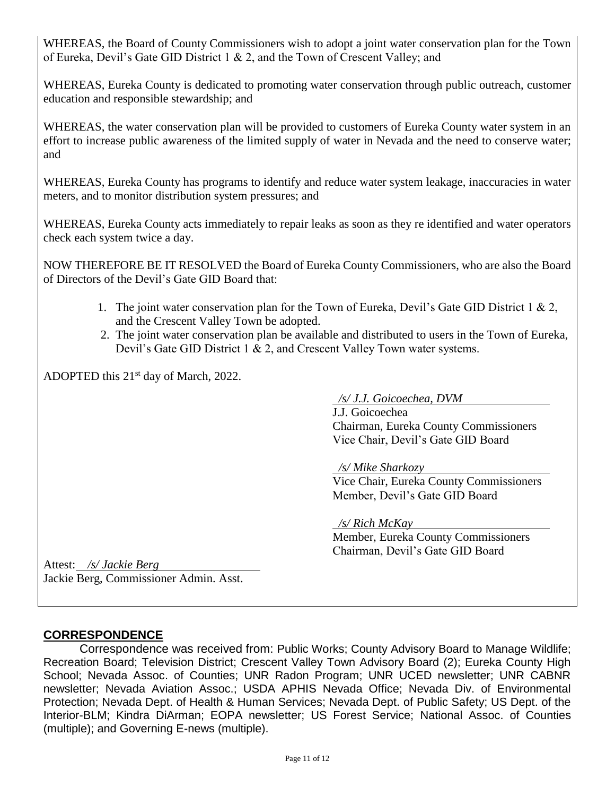WHEREAS, the Board of County Commissioners wish to adopt a joint water conservation plan for the Town of Eureka, Devil's Gate GID District 1 & 2, and the Town of Crescent Valley; and

WHEREAS, Eureka County is dedicated to promoting water conservation through public outreach, customer education and responsible stewardship; and

WHEREAS, the water conservation plan will be provided to customers of Eureka County water system in an effort to increase public awareness of the limited supply of water in Nevada and the need to conserve water; and

WHEREAS, Eureka County has programs to identify and reduce water system leakage, inaccuracies in water meters, and to monitor distribution system pressures; and

WHEREAS, Eureka County acts immediately to repair leaks as soon as they re identified and water operators check each system twice a day.

NOW THEREFORE BE IT RESOLVED the Board of Eureka County Commissioners, who are also the Board of Directors of the Devil's Gate GID Board that:

- 1. The joint water conservation plan for the Town of Eureka, Devil's Gate GID District 1 & 2, and the Crescent Valley Town be adopted.
- 2. The joint water conservation plan be available and distributed to users in the Town of Eureka, Devil's Gate GID District 1 & 2, and Crescent Valley Town water systems.

ADOPTED this 21<sup>st</sup> day of March, 2022.

 */s/ J.J. Goicoechea, DVM*

J.J. Goicoechea Chairman, Eureka County Commissioners Vice Chair, Devil's Gate GID Board

 */s/ Mike Sharkozy*

Vice Chair, Eureka County Commissioners Member, Devil's Gate GID Board

 */s/ Rich McKay*

Member, Eureka County Commissioners Chairman, Devil's Gate GID Board

Attest: */s/ Jackie Berg* Jackie Berg, Commissioner Admin. Asst.

# **CORRESPONDENCE**

Correspondence was received from: Public Works; County Advisory Board to Manage Wildlife; Recreation Board; Television District; Crescent Valley Town Advisory Board (2); Eureka County High School; Nevada Assoc. of Counties; UNR Radon Program; UNR UCED newsletter; UNR CABNR newsletter; Nevada Aviation Assoc.; USDA APHIS Nevada Office; Nevada Div. of Environmental Protection; Nevada Dept. of Health & Human Services; Nevada Dept. of Public Safety; US Dept. of the Interior-BLM; Kindra DiArman; EOPA newsletter; US Forest Service; National Assoc. of Counties (multiple); and Governing E-news (multiple).